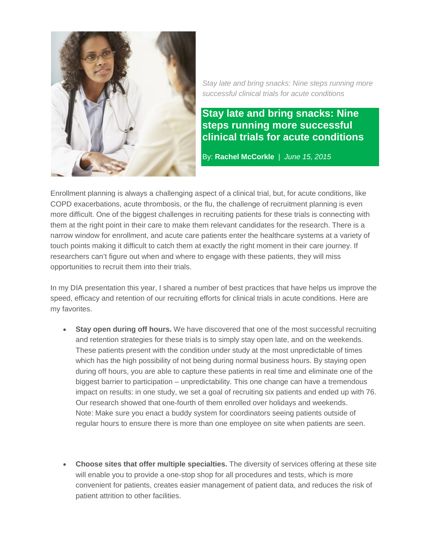

*Stay late and bring snacks: Nine steps running more successful clinical trials for acute conditions*

## **Stay late and bring snacks: Nine steps running more successful clinical trials for acute conditions**

By: **Rachel McCorkle** | *June 15, 2015*

Enrollment planning is always a challenging aspect of a clinical trial, but, for acute conditions, like COPD exacerbations, acute thrombosis, or the flu, the challenge of recruitment planning is even more difficult. One of the biggest challenges in recruiting patients for these trials is connecting with them at the right point in their care to make them relevant candidates for the research. There is a narrow window for enrollment, and acute care patients enter the healthcare systems at a variety of touch points making it difficult to catch them at exactly the right moment in their care journey. If researchers can't figure out when and where to engage with these patients, they will miss opportunities to recruit them into their trials.

In my DIA presentation this year, I shared a number of best practices that have helps us improve the speed, efficacy and retention of our recruiting efforts for clinical trials in acute conditions. Here are my favorites.

- **Stay open during off hours.** We have discovered that one of the most successful recruiting and retention strategies for these trials is to simply stay open late, and on the weekends. These patients present with the condition under study at the most unpredictable of times which has the high possibility of not being during normal business hours. By staying open during off hours, you are able to capture these patients in real time and eliminate one of the biggest barrier to participation – unpredictability. This one change can have a tremendous impact on results: in one study, we set a goal of recruiting six patients and ended up with 76. Our research showed that one-fourth of them enrolled over holidays and weekends. Note: Make sure you enact a buddy system for coordinators seeing patients outside of regular hours to ensure there is more than one employee on site when patients are seen.
- **Choose sites that offer multiple specialties.** The diversity of services offering at these site will enable you to provide a one-stop shop for all procedures and tests, which is more convenient for patients, creates easier management of patient data, and reduces the risk of patient attrition to other facilities.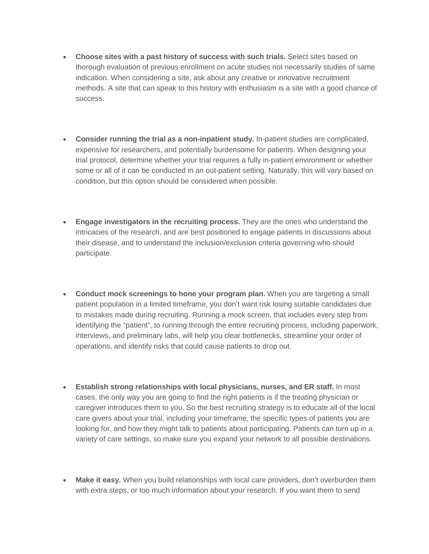- **Choose sites with a past history of success with such trials.** Select sites based on thorough evaluation of previous enrollment on acute studies not necessarily studies of same indication. When considering a site, ask about any creative or innovative recruitment methods. A site that can speak to this history with enthusiasm is a site with a good chance of success.
- **Consider running the trial as a non-inpatient study.** In-patient studies are complicated, expensive for researchers, and potentially burdensome for patients. When designing your trial protocol, determine whether your trial requires a fully in-patient environment or whether some or all of it can be conducted in an out-patient setting. Naturally, this will vary based on condition, but this option should be considered when possible.
- **Engage investigators in the recruiting process.** They are the ones who understand the intricacies of the research, and are best positioned to engage patients in discussions about their disease, and to understand the inclusion/exclusion criteria governing who should participate.
- **Conduct mock screenings to hone your program plan.** When you are targeting a small patient population in a limited timeframe, you don't want risk losing suitable candidates due to mistakes made during recruiting. Running a mock screen, that includes every step from identifying the "patient", to running through the entire recruiting process, including paperwork, interviews, and preliminary labs, will help you clear bottlenecks, streamline your order of operations, and identify risks that could cause patients to drop out.
- **Establish strong relationships with local physicians, nurses, and ER staff.** In most cases, the only way you are going to find the right patients is if the treating physician or caregiver introduces them to you. So the best recruiting strategy is to educate all of the local care givers about your trial, including your timeframe, the specific types of patients you are looking for, and how they might talk to patients about participating. Patients can turn up in a variety of care settings, so make sure you expand your network to all possible destinations.
- **Make it easy.** When you build relationships with local care providers, don't overburden them with extra steps, or too much information about your research. If you want them to send